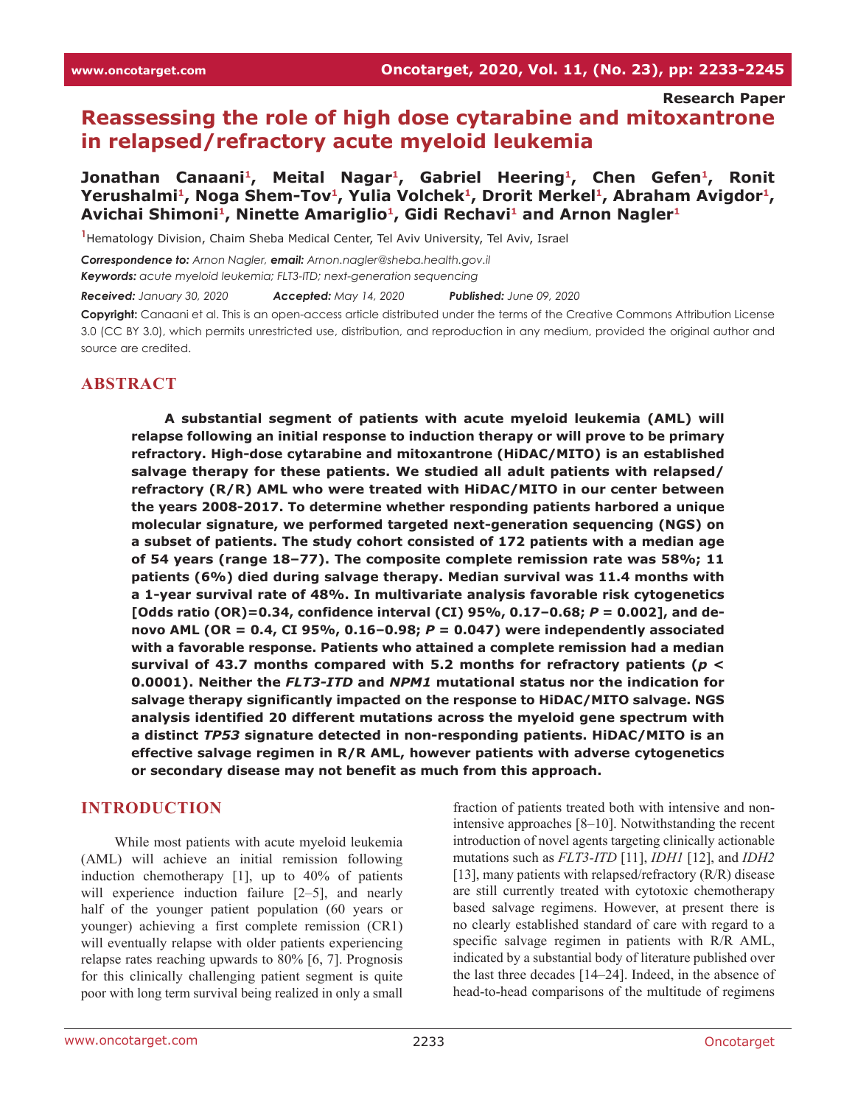**Research Paper**

# **Reassessing the role of high dose cytarabine and mitoxantrone in relapsed/refractory acute myeloid leukemia**

**Jonathan Canaani1, Meital Nagar1, Gabriel Heering1, Chen Gefen1, Ronit**  Yerushalmi<sup>1</sup>, Noga Shem-Tov<sup>1</sup>, Yulia Volchek<sup>1</sup>, Drorit Merkel<sup>1</sup>, Abraham Avigdor<sup>1</sup>, Avichai Shimoni<sup>1</sup>, Ninette Amariglio<sup>1</sup>, Gidi Rechavi<sup>1</sup> and Arnon Nagler<sup>1</sup>

**1** Hematology Division, Chaim Sheba Medical Center, Tel Aviv University, Tel Aviv, Israel

*Correspondence to: Arnon Nagler, email: Arnon.nagler@sheba.health.gov.il Keywords: acute myeloid leukemia; FLT3-ITD; next-generation sequencing*

*Received: January 30, 2020 Accepted: May 14, 2020 Published: June 09, 2020*

**Copyright:** Canaani et al. This is an open-access article distributed under the terms of the Creative Commons Attribution License 3.0 (CC BY 3.0), which permits unrestricted use, distribution, and reproduction in any medium, provided the original author and source are credited.

### **ABSTRACT**

**A substantial segment of patients with acute myeloid leukemia (AML) will relapse following an initial response to induction therapy or will prove to be primary refractory. High-dose cytarabine and mitoxantrone (HiDAC/MITO) is an established salvage therapy for these patients. We studied all adult patients with relapsed/ refractory (R/R) AML who were treated with HiDAC/MITO in our center between the years 2008-2017. To determine whether responding patients harbored a unique molecular signature, we performed targeted next-generation sequencing (NGS) on a subset of patients. The study cohort consisted of 172 patients with a median age of 54 years (range 18–77). The composite complete remission rate was 58%; 11 patients (6%) died during salvage therapy. Median survival was 11.4 months with a 1-year survival rate of 48%. In multivariate analysis favorable risk cytogenetics [Odds ratio (OR)=0.34, confidence interval (CI) 95%, 0.17–0.68;** *P* **= 0.002], and denovo AML (OR = 0.4, CI 95%, 0.16–0.98;** *P* **= 0.047) were independently associated with a favorable response. Patients who attained a complete remission had a median survival of 43.7 months compared with 5.2 months for refractory patients (***p* **< 0.0001). Neither the** *FLT3-ITD* **and** *NPM1* **mutational status nor the indication for salvage therapy significantly impacted on the response to HiDAC/MITO salvage. NGS analysis identified 20 different mutations across the myeloid gene spectrum with a distinct** *TP53* **signature detected in non-responding patients. HiDAC/MITO is an effective salvage regimen in R/R AML, however patients with adverse cytogenetics or secondary disease may not benefit as much from this approach.**

#### **INTRODUCTION**

While most patients with acute myeloid leukemia (AML) will achieve an initial remission following induction chemotherapy [1], up to 40% of patients will experience induction failure [2–5], and nearly half of the younger patient population (60 years or younger) achieving a first complete remission (CR1) will eventually relapse with older patients experiencing relapse rates reaching upwards to 80% [6, 7]. Prognosis for this clinically challenging patient segment is quite poor with long term survival being realized in only a small

fraction of patients treated both with intensive and nonintensive approaches [8–10]. Notwithstanding the recent introduction of novel agents targeting clinically actionable mutations such as *FLT3-ITD* [11], *IDH1* [12], and *IDH2* [13], many patients with relapsed/refractory (R/R) disease are still currently treated with cytotoxic chemotherapy based salvage regimens. However, at present there is no clearly established standard of care with regard to a specific salvage regimen in patients with R/R AML, indicated by a substantial body of literature published over the last three decades [14–24]. Indeed, in the absence of head-to-head comparisons of the multitude of regimens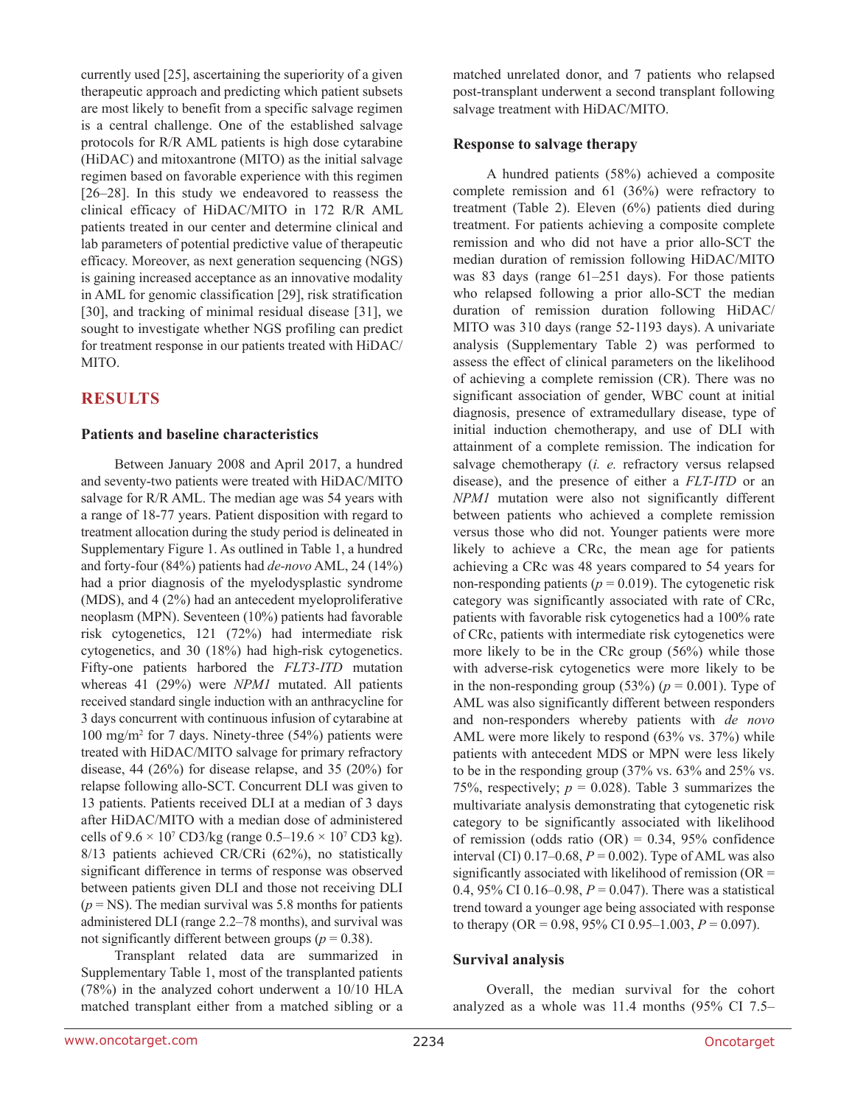currently used [25], ascertaining the superiority of a given therapeutic approach and predicting which patient subsets are most likely to benefit from a specific salvage regimen is a central challenge. One of the established salvage protocols for R/R AML patients is high dose cytarabine (HiDAC) and mitoxantrone (MITO) as the initial salvage regimen based on favorable experience with this regimen [26–28]. In this study we endeavored to reassess the clinical efficacy of HiDAC/MITO in 172 R/R AML patients treated in our center and determine clinical and lab parameters of potential predictive value of therapeutic efficacy. Moreover, as next generation sequencing (NGS) is gaining increased acceptance as an innovative modality in AML for genomic classification [29], risk stratification [30], and tracking of minimal residual disease [31], we sought to investigate whether NGS profiling can predict for treatment response in our patients treated with HiDAC/ MITO.

## **RESULTS**

#### **Patients and baseline characteristics**

Between January 2008 and April 2017, a hundred and seventy-two patients were treated with HiDAC/MITO salvage for R/R AML. The median age was 54 years with a range of 18-77 years. Patient disposition with regard to treatment allocation during the study period is delineated in Supplementary Figure 1. As outlined in Table 1, a hundred and forty-four (84%) patients had *de-novo* AML, 24 (14%) had a prior diagnosis of the myelodysplastic syndrome (MDS), and 4 (2%) had an antecedent myeloproliferative neoplasm (MPN). Seventeen (10%) patients had favorable risk cytogenetics, 121 (72%) had intermediate risk cytogenetics, and 30 (18%) had high-risk cytogenetics. Fifty-one patients harbored the *FLT3-ITD* mutation whereas 41 (29%) were *NPM1* mutated. All patients received standard single induction with an anthracycline for 3 days concurrent with continuous infusion of cytarabine at 100 mg/m2 for 7 days. Ninety-three (54%) patients were treated with HiDAC/MITO salvage for primary refractory disease, 44 (26%) for disease relapse, and 35 (20%) for relapse following allo-SCT. Concurrent DLI was given to 13 patients. Patients received DLI at a median of 3 days after HiDAC/MITO with a median dose of administered cells of  $9.6 \times 10^7$  CD3/kg (range  $0.5-19.6 \times 10^7$  CD3 kg). 8/13 patients achieved CR/CRi (62%), no statistically significant difference in terms of response was observed between patients given DLI and those not receiving DLI  $(p = NS)$ . The median survival was 5.8 months for patients administered DLI (range 2.2–78 months), and survival was not significantly different between groups ( $p = 0.38$ ).

Transplant related data are summarized in Supplementary Table 1, most of the transplanted patients (78%) in the analyzed cohort underwent a 10/10 HLA matched transplant either from a matched sibling or a matched unrelated donor, and 7 patients who relapsed post-transplant underwent a second transplant following salvage treatment with HiDAC/MITO.

### **Response to salvage therapy**

A hundred patients (58%) achieved a composite complete remission and 61 (36%) were refractory to treatment (Table 2). Eleven (6%) patients died during treatment. For patients achieving a composite complete remission and who did not have a prior allo-SCT the median duration of remission following HiDAC/MITO was 83 days (range 61–251 days). For those patients who relapsed following a prior allo-SCT the median duration of remission duration following HiDAC/ MITO was 310 days (range 52-1193 days). A univariate analysis (Supplementary Table 2) was performed to assess the effect of clinical parameters on the likelihood of achieving a complete remission (CR). There was no significant association of gender, WBC count at initial diagnosis, presence of extramedullary disease, type of initial induction chemotherapy, and use of DLI with attainment of a complete remission. The indication for salvage chemotherapy (*i. e.* refractory versus relapsed disease), and the presence of either a *FLT-ITD* or an *NPM1* mutation were also not significantly different between patients who achieved a complete remission versus those who did not. Younger patients were more likely to achieve a CRc, the mean age for patients achieving a CRc was 48 years compared to 54 years for non-responding patients ( $p = 0.019$ ). The cytogenetic risk category was significantly associated with rate of CRc, patients with favorable risk cytogenetics had a 100% rate of CRc, patients with intermediate risk cytogenetics were more likely to be in the CRc group (56%) while those with adverse-risk cytogenetics were more likely to be in the non-responding group (53%)  $(p = 0.001)$ . Type of AML was also significantly different between responders and non-responders whereby patients with *de novo* AML were more likely to respond (63% vs. 37%) while patients with antecedent MDS or MPN were less likely to be in the responding group (37% vs. 63% and 25% vs. 75%, respectively;  $p = 0.028$ ). Table 3 summarizes the multivariate analysis demonstrating that cytogenetic risk category to be significantly associated with likelihood of remission (odds ratio  $(OR) = 0.34$ , 95% confidence interval (CI)  $0.17-0.68$ ,  $P = 0.002$ ). Type of AML was also significantly associated with likelihood of remission (OR = 0.4, 95% CI 0.16–0.98, *P* = 0.047). There was a statistical trend toward a younger age being associated with response to therapy (OR =  $0.98$ ,  $95\%$  CI  $0.95-1.003$ ,  $P = 0.097$ ).

### **Survival analysis**

Overall, the median survival for the cohort analyzed as a whole was 11.4 months (95% CI 7.5–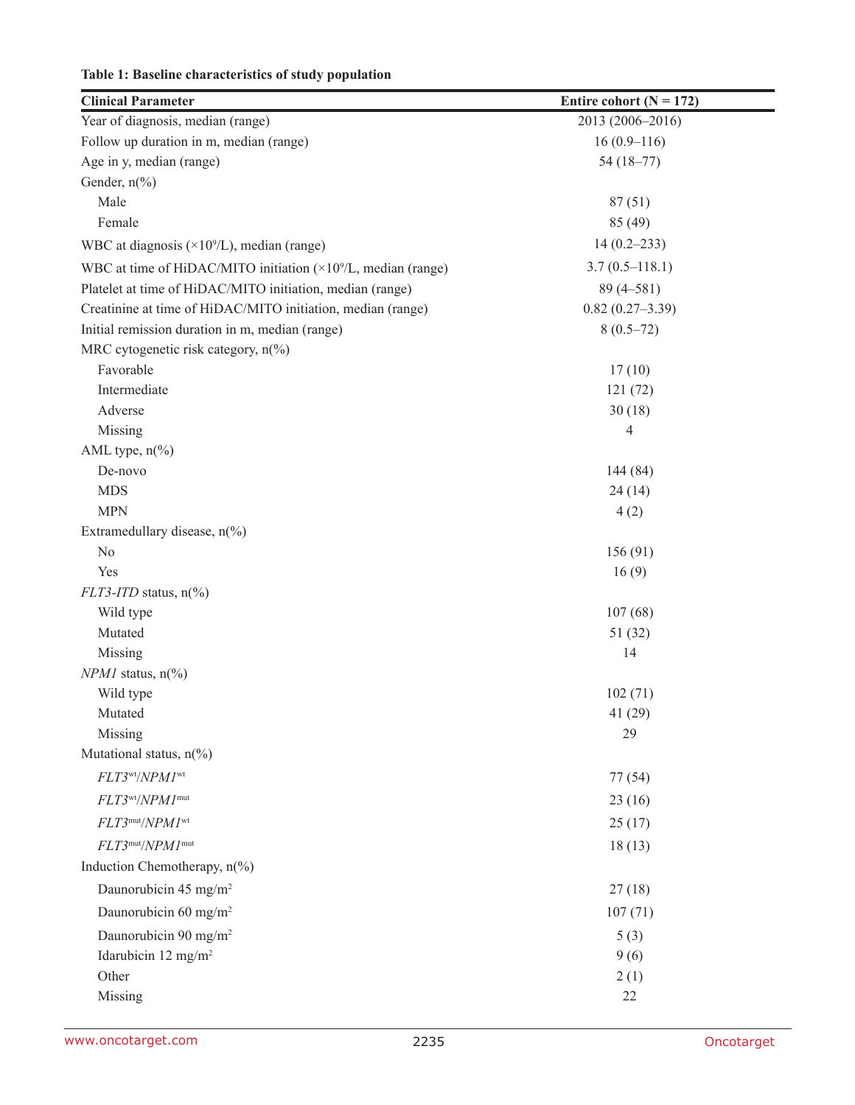| Table 1: Baseline characteristics of study population |  |  |  |
|-------------------------------------------------------|--|--|--|
|-------------------------------------------------------|--|--|--|

| <b>Clinical Parameter</b>                                              | Entire cohort ( $N = 172$ ) |
|------------------------------------------------------------------------|-----------------------------|
| Year of diagnosis, median (range)                                      | 2013 (2006-2016)            |
| Follow up duration in m, median (range)                                | $16(0.9-116)$               |
| Age in y, median (range)                                               | $54(18-77)$                 |
| Gender, n(%)                                                           |                             |
| Male                                                                   | 87(51)                      |
| Female                                                                 | 85 (49)                     |
| WBC at diagnosis $(\times 10^9$ /L), median (range)                    | $14(0.2-233)$               |
| WBC at time of HiDAC/MITO initiation $(\times 10^9$ /L, median (range) | $3.7(0.5-118.1)$            |
| Platelet at time of HiDAC/MITO initiation, median (range)              | $89(4 - 581)$               |
| Creatinine at time of HiDAC/MITO initiation, median (range)            | $0.82(0.27-3.39)$           |
| Initial remission duration in m, median (range)                        | $8(0.5-72)$                 |
| MRC cytogenetic risk category, n(%)                                    |                             |
| Favorable                                                              | 17(10)                      |
| Intermediate                                                           | 121(72)                     |
| Adverse                                                                | 30(18)                      |
| Missing                                                                | 4                           |
| AML type, n(%)                                                         |                             |
| De-novo                                                                | 144 (84)                    |
| <b>MDS</b>                                                             | 24(14)                      |
| <b>MPN</b>                                                             | 4(2)                        |
| Extramedullary disease, $n\frac{6}{6}$                                 |                             |
| N <sub>o</sub>                                                         | 156(91)                     |
| Yes                                                                    | 16(9)                       |
| $FLT3-ITD$ status, $n\frac{6}{6}$                                      |                             |
| Wild type                                                              | 107(68)                     |
| Mutated                                                                | 51(32)                      |
| Missing                                                                | 14                          |
| $NPMI$ status, $n\frac{0}{0}$                                          |                             |
| Wild type                                                              | 102(71)                     |
| Mutated                                                                | 41 (29)                     |
| Missing<br>Mutational status, n(%)                                     | 29                          |
|                                                                        |                             |
| FLT3 <sup>wt</sup> /NPM1 <sup>wt</sup>                                 | 77 (54)                     |
| FLT3 <sup>wt</sup> /NPM1 <sup>mut</sup>                                | 23(16)                      |
| FLT3mut/NPM1wt                                                         | 25(17)                      |
| FLT3mut/NPM1mut                                                        | 18(13)                      |
| Induction Chemotherapy, n(%)                                           |                             |
| Daunorubicin 45 mg/m <sup>2</sup>                                      | 27(18)                      |
| Daunorubicin 60 mg/m <sup>2</sup>                                      | 107(71)                     |
| Daunorubicin 90 mg/m <sup>2</sup>                                      | 5(3)                        |
| Idarubicin 12 mg/m <sup>2</sup>                                        | 9(6)                        |
| Other                                                                  | 2(1)                        |
| Missing                                                                | 22                          |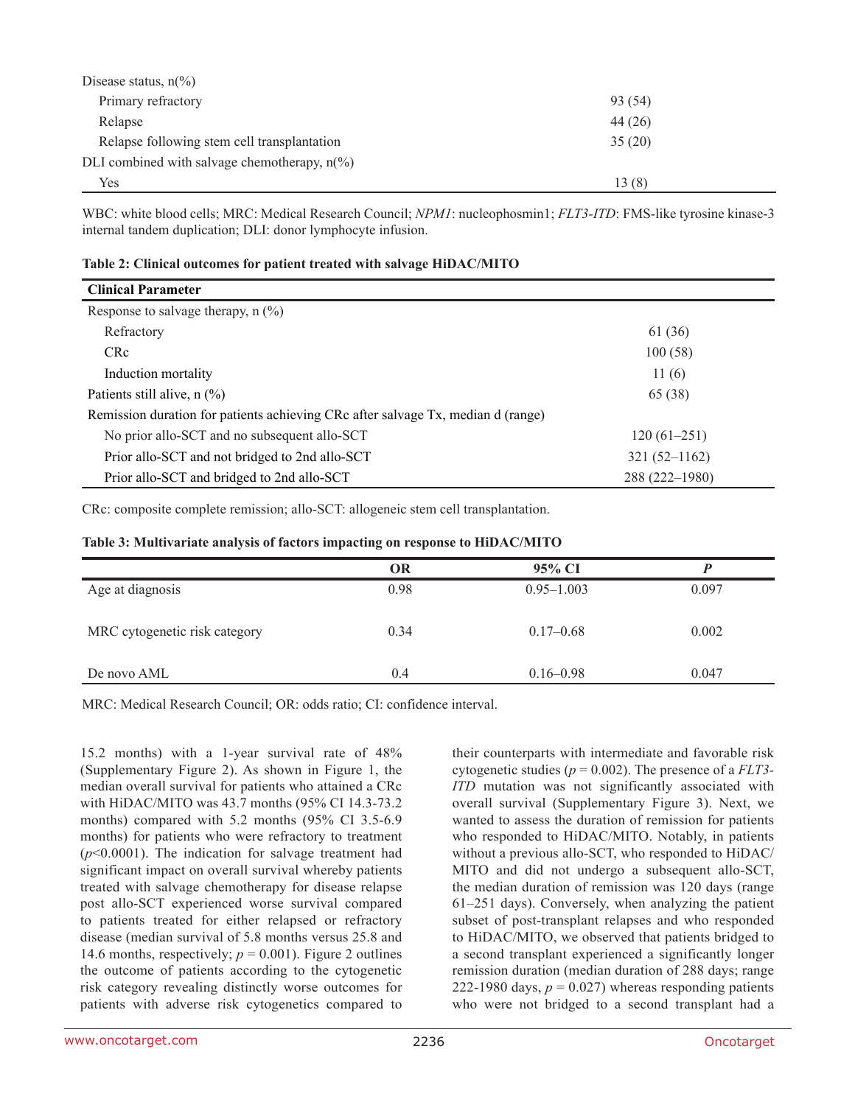| Disease status, $n\binom{9}{0}$                        |         |
|--------------------------------------------------------|---------|
| Primary refractory                                     | 93 (54) |
| Relapse                                                | 44 (26) |
| Relapse following stem cell transplantation            | 35(20)  |
| DLI combined with salvage chemotherapy, $n\frac{6}{6}$ |         |
| Yes                                                    | 13(8)   |

WBC: white blood cells; MRC: Medical Research Council; *NPM1*: nucleophosmin1; *FLT3-ITD*: FMS-like tyrosine kinase-3 internal tandem duplication; DLI: donor lymphocyte infusion.

|  | Table 2: Clinical outcomes for patient treated with salvage HiDAC/MITO |  |  |
|--|------------------------------------------------------------------------|--|--|
|--|------------------------------------------------------------------------|--|--|

| <b>Clinical Parameter</b>                                                        |                  |
|----------------------------------------------------------------------------------|------------------|
| Response to salvage therapy, $n$ (%)                                             |                  |
| Refractory                                                                       | 61 (36)          |
| C <sub>Rc</sub>                                                                  | 100(58)          |
| Induction mortality                                                              | 11(6)            |
| Patients still alive, $n$ (%)                                                    | 65 (38)          |
| Remission duration for patients achieving CRc after salvage Tx, median d (range) |                  |
| No prior allo-SCT and no subsequent allo-SCT                                     | $120(61-251)$    |
| Prior allo-SCT and not bridged to 2nd allo-SCT                                   | $321(52 - 1162)$ |
| Prior allo-SCT and bridged to 2nd allo-SCT                                       | 288 (222-1980)   |

CRc: composite complete remission; allo-SCT: allogeneic stem cell transplantation.

#### **Table 3: Multivariate analysis of factors impacting on response to HiDAC/MITO**

|                               | OR   | 95% CI         |       |
|-------------------------------|------|----------------|-------|
| Age at diagnosis              | 0.98 | $0.95 - 1.003$ | 0.097 |
| MRC cytogenetic risk category | 0.34 | $0.17 - 0.68$  | 0.002 |
| De novo AML                   | 0.4  | $0.16 - 0.98$  | 0.047 |

MRC: Medical Research Council; OR: odds ratio; CI: confidence interval.

15.2 months) with a 1-year survival rate of 48% (Supplementary Figure 2). As shown in Figure 1, the median overall survival for patients who attained a CRc with HiDAC/MITO was 43.7 months (95% CI 14.3-73.2 months) compared with 5.2 months (95% CI 3.5-6.9 months) for patients who were refractory to treatment (*p*<0.0001). The indication for salvage treatment had significant impact on overall survival whereby patients treated with salvage chemotherapy for disease relapse post allo-SCT experienced worse survival compared to patients treated for either relapsed or refractory disease (median survival of 5.8 months versus 25.8 and 14.6 months, respectively;  $p = 0.001$ ). Figure 2 outlines the outcome of patients according to the cytogenetic risk category revealing distinctly worse outcomes for patients with adverse risk cytogenetics compared to

their counterparts with intermediate and favorable risk cytogenetic studies (*p* = 0.002). The presence of a *FLT3- ITD* mutation was not significantly associated with overall survival (Supplementary Figure 3). Next, we wanted to assess the duration of remission for patients who responded to HiDAC/MITO. Notably, in patients without a previous allo-SCT, who responded to HiDAC/ MITO and did not undergo a subsequent allo-SCT, the median duration of remission was 120 days (range 61–251 days). Conversely, when analyzing the patient subset of post-transplant relapses and who responded to HiDAC/MITO, we observed that patients bridged to a second transplant experienced a significantly longer remission duration (median duration of 288 days; range 222-1980 days,  $p = 0.027$ ) whereas responding patients who were not bridged to a second transplant had a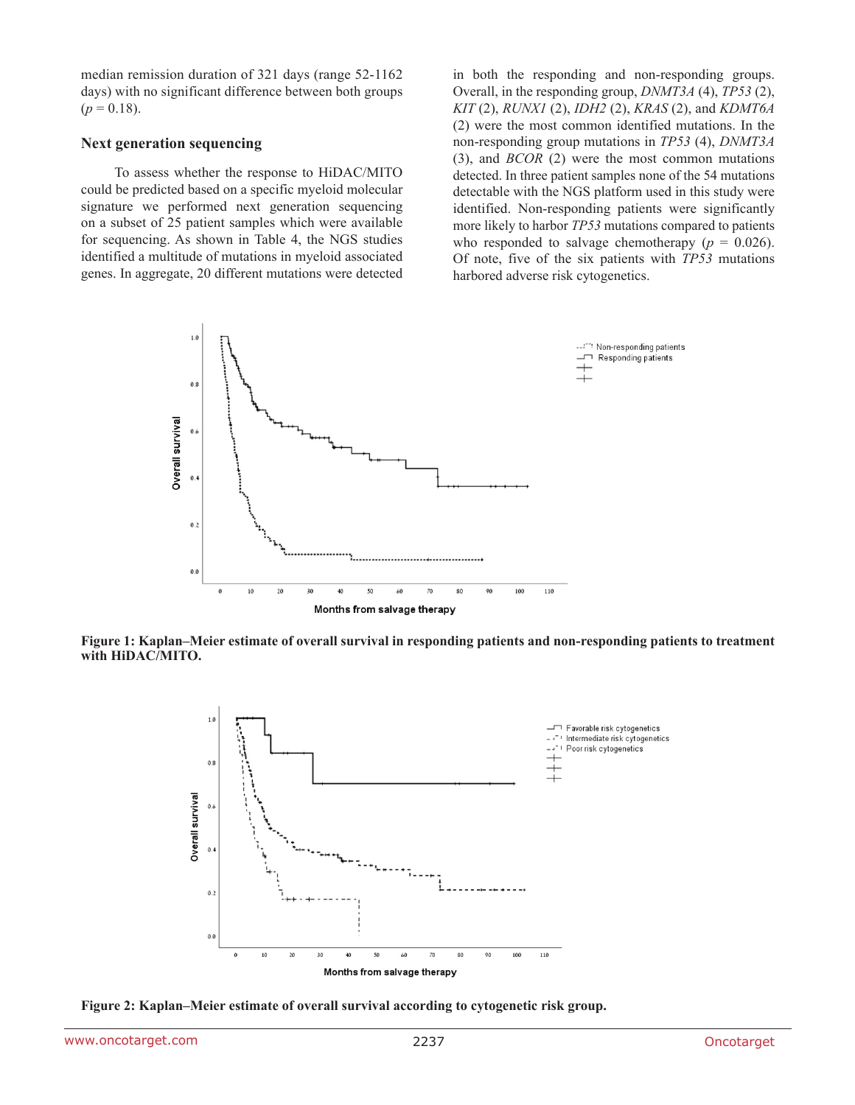median remission duration of 321 days (range 52-1162 days) with no significant difference between both groups  $(p = 0.18)$ .

#### **Next generation sequencing**

To assess whether the response to HiDAC/MITO could be predicted based on a specific myeloid molecular signature we performed next generation sequencing on a subset of 25 patient samples which were available for sequencing. As shown in Table 4, the NGS studies identified a multitude of mutations in myeloid associated genes. In aggregate, 20 different mutations were detected in both the responding and non-responding groups. Overall, in the responding group, *DNMT3A* (4), *TP53* (2), *KIT* (2), *RUNX1* (2), *IDH2* (2), *KRAS* (2), and *KDMT6A* (2) were the most common identified mutations. In the non-responding group mutations in *TP53* (4), *DNMT3A* (3), and *BCOR* (2) were the most common mutations detected. In three patient samples none of the 54 mutations detectable with the NGS platform used in this study were identified. Non-responding patients were significantly more likely to harbor *TP53* mutations compared to patients who responded to salvage chemotherapy ( $p = 0.026$ ). Of note, five of the six patients with *TP53* mutations harbored adverse risk cytogenetics.



**Figure 1: Kaplan–Meier estimate of overall survival in responding patients and non-responding patients to treatment with HiDAC/MITO.**



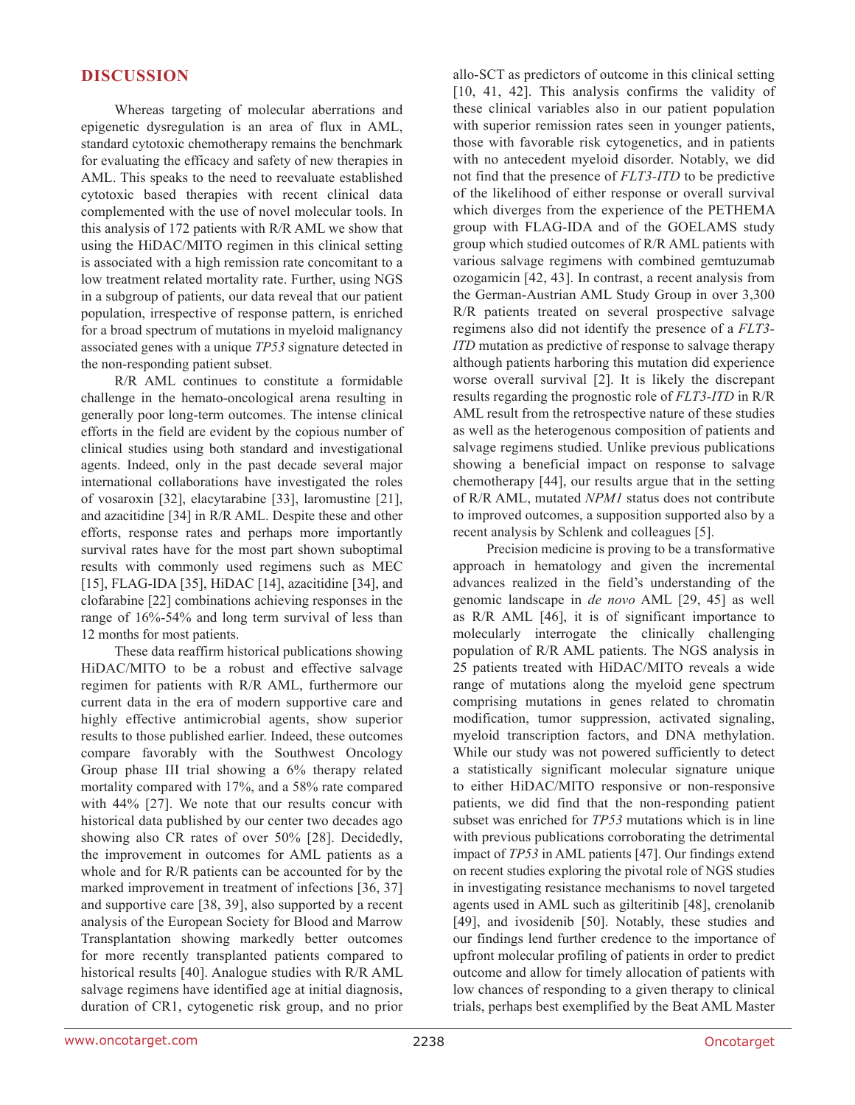### **DISCUSSION**

Whereas targeting of molecular aberrations and epigenetic dysregulation is an area of flux in AML, standard cytotoxic chemotherapy remains the benchmark for evaluating the efficacy and safety of new therapies in AML. This speaks to the need to reevaluate established cytotoxic based therapies with recent clinical data complemented with the use of novel molecular tools. In this analysis of 172 patients with R/R AML we show that using the HiDAC/MITO regimen in this clinical setting is associated with a high remission rate concomitant to a low treatment related mortality rate. Further, using NGS in a subgroup of patients, our data reveal that our patient population, irrespective of response pattern, is enriched for a broad spectrum of mutations in myeloid malignancy associated genes with a unique *TP53* signature detected in the non-responding patient subset.

R/R AML continues to constitute a formidable challenge in the hemato-oncological arena resulting in generally poor long-term outcomes. The intense clinical efforts in the field are evident by the copious number of clinical studies using both standard and investigational agents. Indeed, only in the past decade several major international collaborations have investigated the roles of vosaroxin [32], elacytarabine [33], laromustine [21], and azacitidine [34] in R/R AML. Despite these and other efforts, response rates and perhaps more importantly survival rates have for the most part shown suboptimal results with commonly used regimens such as MEC [15], FLAG-IDA [35], HiDAC [14], azacitidine [34], and clofarabine [22] combinations achieving responses in the range of 16%-54% and long term survival of less than 12 months for most patients.

These data reaffirm historical publications showing HiDAC/MITO to be a robust and effective salvage regimen for patients with R/R AML, furthermore our current data in the era of modern supportive care and highly effective antimicrobial agents, show superior results to those published earlier. Indeed, these outcomes compare favorably with the Southwest Oncology Group phase III trial showing a 6% therapy related mortality compared with 17%, and a 58% rate compared with 44% [27]. We note that our results concur with historical data published by our center two decades ago showing also CR rates of over 50% [28]. Decidedly, the improvement in outcomes for AML patients as a whole and for R/R patients can be accounted for by the marked improvement in treatment of infections [36, 37] and supportive care [38, 39], also supported by a recent analysis of the European Society for Blood and Marrow Transplantation showing markedly better outcomes for more recently transplanted patients compared to historical results [40]. Analogue studies with R/R AML salvage regimens have identified age at initial diagnosis, duration of CR1, cytogenetic risk group, and no prior

allo-SCT as predictors of outcome in this clinical setting [10, 41, 42]. This analysis confirms the validity of these clinical variables also in our patient population with superior remission rates seen in younger patients, those with favorable risk cytogenetics, and in patients with no antecedent myeloid disorder. Notably, we did not find that the presence of *FLT3-ITD* to be predictive of the likelihood of either response or overall survival which diverges from the experience of the PETHEMA group with FLAG-IDA and of the GOELAMS study group which studied outcomes of R/R AML patients with various salvage regimens with combined gemtuzumab ozogamicin [42, 43]. In contrast, a recent analysis from the German-Austrian AML Study Group in over 3,300 R/R patients treated on several prospective salvage regimens also did not identify the presence of a *FLT3- ITD* mutation as predictive of response to salvage therapy although patients harboring this mutation did experience worse overall survival [2]. It is likely the discrepant results regarding the prognostic role of *FLT3-ITD* in R/R AML result from the retrospective nature of these studies as well as the heterogenous composition of patients and salvage regimens studied. Unlike previous publications showing a beneficial impact on response to salvage chemotherapy [44], our results argue that in the setting of R/R AML, mutated *NPM1* status does not contribute to improved outcomes, a supposition supported also by a recent analysis by Schlenk and colleagues [5].

Precision medicine is proving to be a transformative approach in hematology and given the incremental advances realized in the field's understanding of the genomic landscape in *de novo* AML [29, 45] as well as R/R AML [46], it is of significant importance to molecularly interrogate the clinically challenging population of R/R AML patients. The NGS analysis in 25 patients treated with HiDAC/MITO reveals a wide range of mutations along the myeloid gene spectrum comprising mutations in genes related to chromatin modification, tumor suppression, activated signaling, myeloid transcription factors, and DNA methylation. While our study was not powered sufficiently to detect a statistically significant molecular signature unique to either HiDAC/MITO responsive or non-responsive patients, we did find that the non-responding patient subset was enriched for *TP53* mutations which is in line with previous publications corroborating the detrimental impact of *TP53* in AML patients [47]. Our findings extend on recent studies exploring the pivotal role of NGS studies in investigating resistance mechanisms to novel targeted agents used in AML such as gilteritinib [48], crenolanib [49], and ivosidenib [50]. Notably, these studies and our findings lend further credence to the importance of upfront molecular profiling of patients in order to predict outcome and allow for timely allocation of patients with low chances of responding to a given therapy to clinical trials, perhaps best exemplified by the Beat AML Master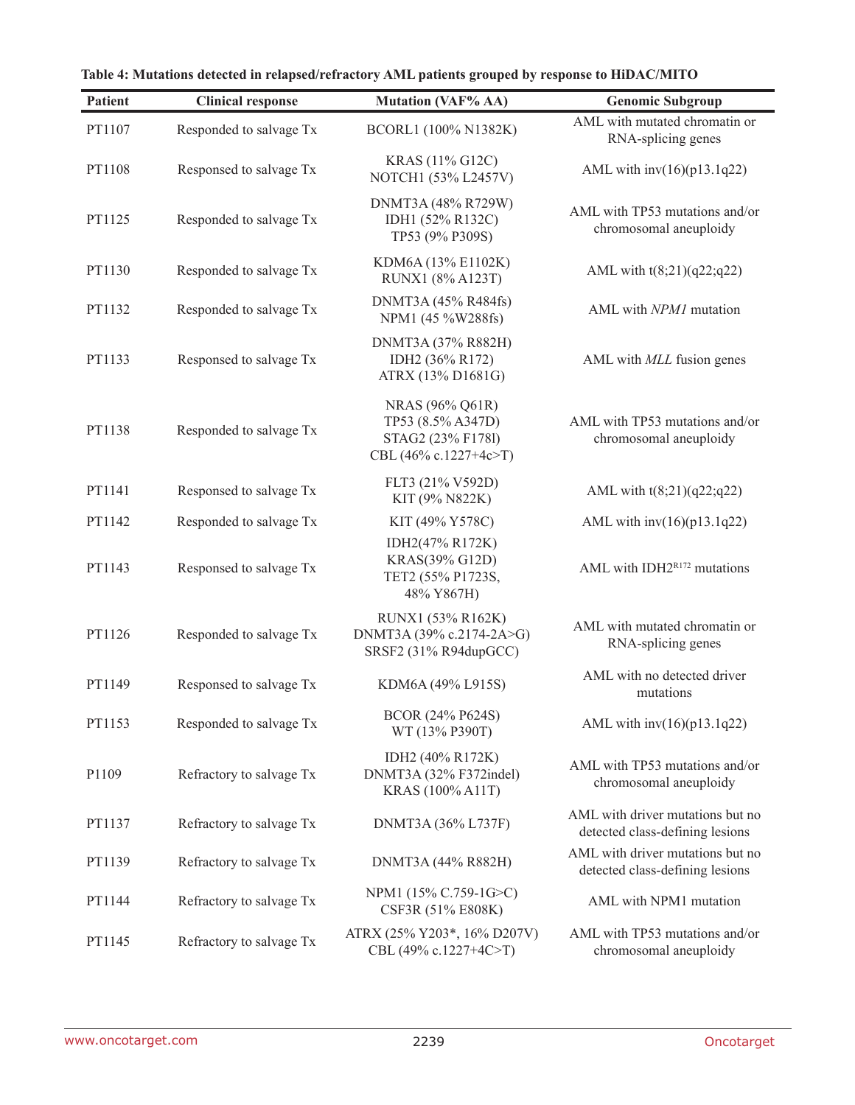| <b>Patient</b> | <b>Clinical response</b> | <b>Mutation (VAF% AA)</b>                                                          | <b>Genomic Subgroup</b>                                             |
|----------------|--------------------------|------------------------------------------------------------------------------------|---------------------------------------------------------------------|
| PT1107         | Responded to salvage Tx  | BCORL1 (100% N1382K)                                                               | AML with mutated chromatin or<br>RNA-splicing genes                 |
| PT1108         | Responsed to salvage Tx  | KRAS (11% G12C)<br>NOTCH1 (53% L2457V)                                             | AML with $inv(16)(p13.1q22)$                                        |
| PT1125         | Responded to salvage Tx  | DNMT3A (48% R729W)<br>IDH1 (52% R132C)<br>TP53 (9% P309S)                          | AML with TP53 mutations and/or<br>chromosomal aneuploidy            |
| PT1130         | Responded to salvage Tx  | KDM6A (13% E1102K)<br>RUNX1 (8% A123T)                                             | AML with $t(8;21)(q22;q22)$                                         |
| PT1132         | Responded to salvage Tx  | DNMT3A (45% R484fs)<br>NPM1 (45 %W288fs)                                           | AML with NPM1 mutation                                              |
| PT1133         | Responsed to salvage Tx  | DNMT3A (37% R882H)<br>IDH2 (36% R172)<br>ATRX (13% D1681G)                         | AML with <i>MLL</i> fusion genes                                    |
| PT1138         | Responded to salvage Tx  | NRAS (96% Q61R)<br>TP53 (8.5% A347D)<br>STAG2 (23% F1781)<br>CBL (46% c.1227+4c>T) | AML with TP53 mutations and/or<br>chromosomal aneuploidy            |
| PT1141         | Responsed to salvage Tx  | FLT3 (21% V592D)<br>KIT (9% N822K)                                                 | AML with $t(8;21)(q22;q22)$                                         |
| PT1142         | Responded to salvage Tx  | KIT (49% Y578C)                                                                    | AML with $inv(16)(p13.1q22)$                                        |
| PT1143         | Responsed to salvage Tx  | IDH2(47% R172K)<br>KRAS(39% G12D)<br>TET2 (55% P1723S,<br>48% Y867H)               | AML with IDH2R172 mutations                                         |
| PT1126         | Responded to salvage Tx  | RUNX1 (53% R162K)<br>DNMT3A (39% c.2174-2A>G)<br>SRSF2 (31% R94dupGCC)             | AML with mutated chromatin or<br>RNA-splicing genes                 |
| PT1149         | Responsed to salvage Tx  | KDM6A (49% L915S)                                                                  | AML with no detected driver<br>mutations                            |
| PT1153         | Responded to salvage Tx  | BCOR (24% P624S)<br>WT (13% P390T)                                                 | AML with $inv(16)(p13.1q22)$                                        |
| P1109          | Refractory to salvage Tx | IDH2 (40% R172K)<br>DNMT3A (32% F372indel)<br>KRAS (100% A11T)                     | AML with TP53 mutations and/or<br>chromosomal aneuploidy            |
| PT1137         | Refractory to salvage Tx | DNMT3A (36% L737F)                                                                 | AML with driver mutations but no<br>detected class-defining lesions |
| PT1139         | Refractory to salvage Tx | DNMT3A (44% R882H)                                                                 | AML with driver mutations but no<br>detected class-defining lesions |
| PT1144         | Refractory to salvage Tx | NPM1 (15% C.759-1G>C)<br>CSF3R (51% E808K)                                         | AML with NPM1 mutation                                              |
| PT1145         | Refractory to salvage Tx | ATRX (25% Y203*, 16% D207V)<br>CBL (49% c.1227+4C>T)                               | AML with TP53 mutations and/or<br>chromosomal aneuploidy            |

**Table 4: Mutations detected in relapsed/refractory AML patients grouped by response to HiDAC/MITO**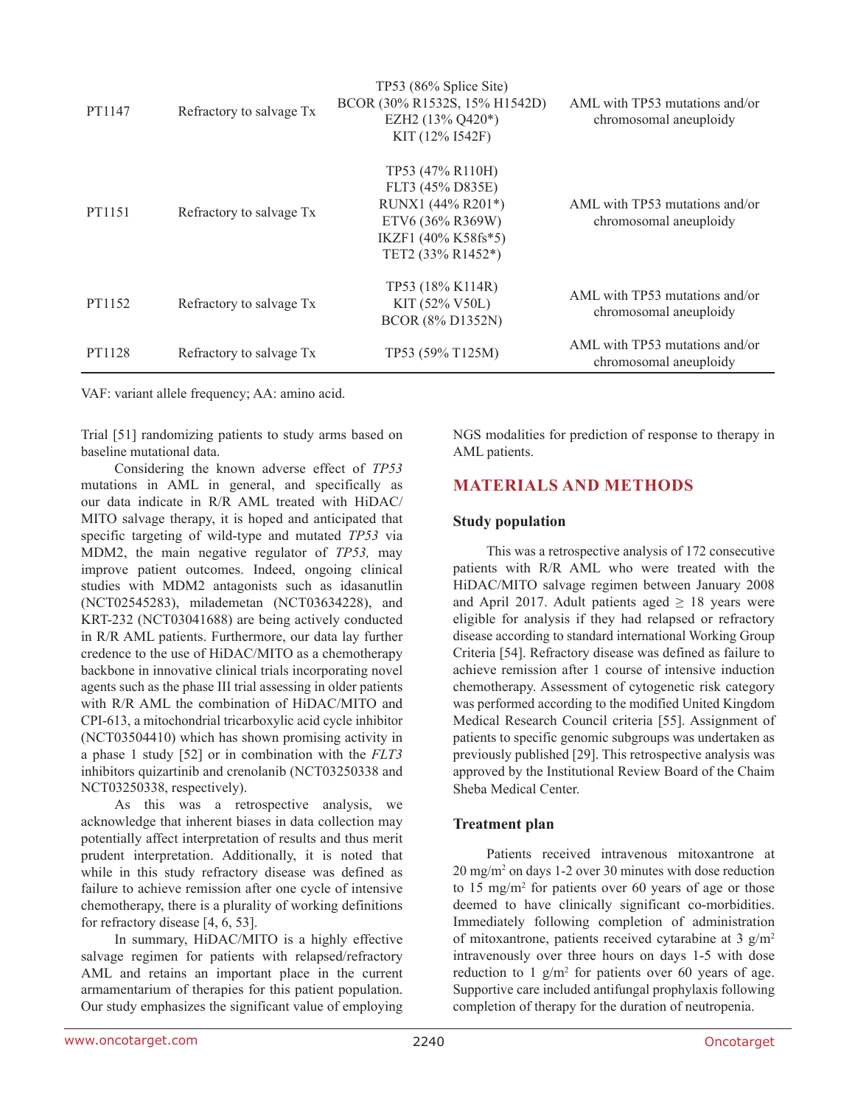| PT1147 | Refractory to salvage Tx | TP53 (86% Splice Site)<br>BCOR (30% R1532S, 15% H1542D)<br>EZH2 (13% Q420*)<br>KIT (12% I542F)                            | AML with TP53 mutations and/or<br>chromosomal aneuploidy |
|--------|--------------------------|---------------------------------------------------------------------------------------------------------------------------|----------------------------------------------------------|
| PT1151 | Refractory to salvage Tx | TP53 (47% R110H)<br>FLT3 (45% D835E)<br>RUNX1 (44% R201*)<br>ETV6 (36% R369W)<br>IKZF1 (40% K58fs*5)<br>TET2 (33% R1452*) | AML with TP53 mutations and/or<br>chromosomal aneuploidy |
| PT1152 | Refractory to salvage Tx | TP53 (18% K114R)<br>$KIT (52\% V50L)$<br>BCOR (8% D1352N)                                                                 | AML with TP53 mutations and/or<br>chromosomal aneuploidy |
| PT1128 | Refractory to salvage Tx | TP53 (59% T125M)                                                                                                          | AML with TP53 mutations and/or<br>chromosomal aneuploidy |

VAF: variant allele frequency; AA: amino acid.

Trial [51] randomizing patients to study arms based on baseline mutational data.

Considering the known adverse effect of *TP53* mutations in AML in general, and specifically as our data indicate in R/R AML treated with HiDAC/ MITO salvage therapy, it is hoped and anticipated that specific targeting of wild-type and mutated *TP53* via MDM2, the main negative regulator of *TP53,* may improve patient outcomes. Indeed, ongoing clinical studies with MDM2 antagonists such as idasanutlin (NCT02545283), milademetan (NCT03634228), and KRT-232 (NCT03041688) are being actively conducted in R/R AML patients. Furthermore, our data lay further credence to the use of HiDAC/MITO as a chemotherapy backbone in innovative clinical trials incorporating novel agents such as the phase III trial assessing in older patients with R/R AML the combination of HiDAC/MITO and CPI-613, a mitochondrial tricarboxylic acid cycle inhibitor (NCT03504410) which has shown promising activity in a phase 1 study [52] or in combination with the *FLT3* inhibitors quizartinib and crenolanib (NCT03250338 and NCT03250338, respectively).

As this was a retrospective analysis, we acknowledge that inherent biases in data collection may potentially affect interpretation of results and thus merit prudent interpretation. Additionally, it is noted that while in this study refractory disease was defined as failure to achieve remission after one cycle of intensive chemotherapy, there is a plurality of working definitions for refractory disease [4, 6, 53].

In summary, HiDAC/MITO is a highly effective salvage regimen for patients with relapsed/refractory AML and retains an important place in the current armamentarium of therapies for this patient population. Our study emphasizes the significant value of employing NGS modalities for prediction of response to therapy in AML patients.

### **MATERIALS AND METHODS**

### **Study population**

This was a retrospective analysis of 172 consecutive patients with R/R AML who were treated with the HiDAC/MITO salvage regimen between January 2008 and April 2017. Adult patients aged  $\geq$  18 years were eligible for analysis if they had relapsed or refractory disease according to standard international Working Group Criteria [54]. Refractory disease was defined as failure to achieve remission after 1 course of intensive induction chemotherapy. Assessment of cytogenetic risk category was performed according to the modified United Kingdom Medical Research Council criteria [55]. Assignment of patients to specific genomic subgroups was undertaken as previously published [29]. This retrospective analysis was approved by the Institutional Review Board of the Chaim Sheba Medical Center.

### **Treatment plan**

Patients received intravenous mitoxantrone at 20 mg/m2 on days 1-2 over 30 minutes with dose reduction to 15 mg/m2 for patients over 60 years of age or those deemed to have clinically significant co-morbidities. Immediately following completion of administration of mitoxantrone, patients received cytarabine at 3  $g/m^2$ intravenously over three hours on days 1-5 with dose reduction to  $1 \text{ g/m}^2$  for patients over 60 years of age. Supportive care included antifungal prophylaxis following completion of therapy for the duration of neutropenia.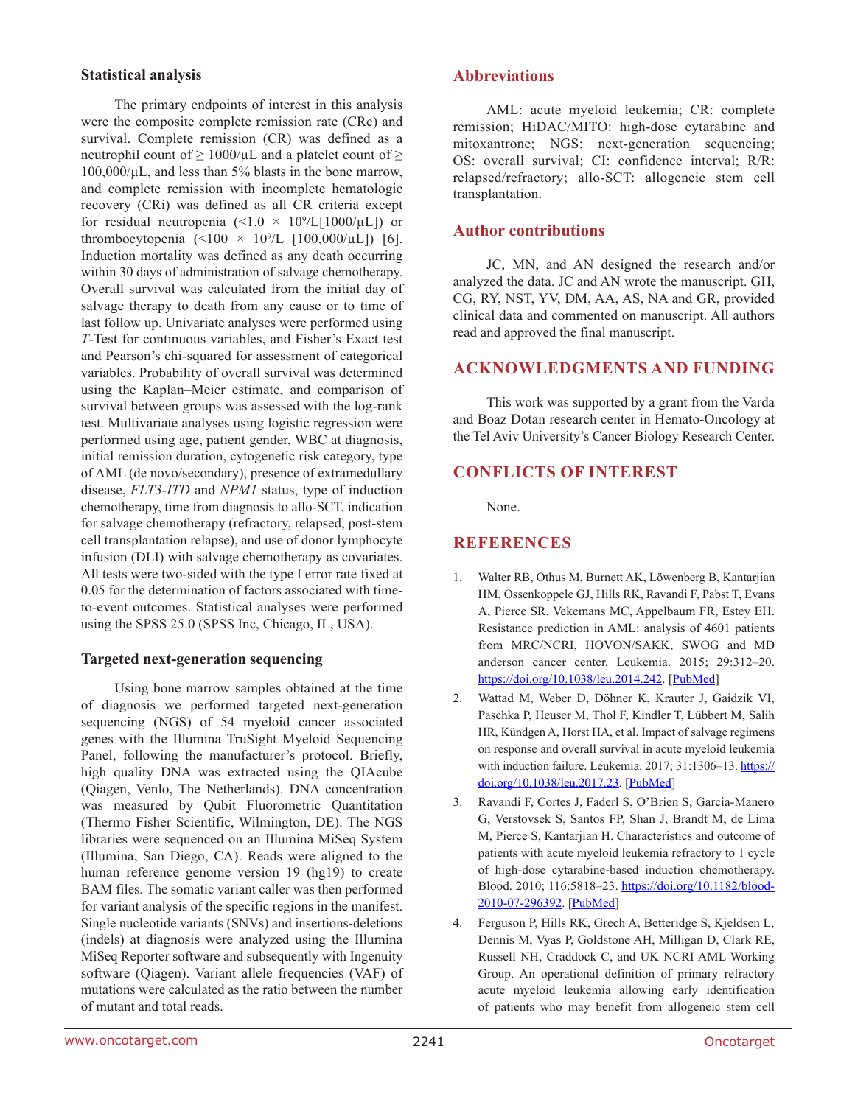### **Statistical analysis**

The primary endpoints of interest in this analysis were the composite complete remission rate (CRc) and survival. Complete remission (CR) was defined as a neutrophil count of  $\geq 1000/\mu L$  and a platelet count of  $\geq$  $100,000/\mu L$ , and less than 5% blasts in the bone marrow, and complete remission with incomplete hematologic recovery (CRi) was defined as all CR criteria except for residual neutropenia  $(\leq 1.0 \times 10^9/L[1000/\mu L])$  or thrombocytopenia  $($  <100  $\times$  10<sup>9</sup>/L [100,000/ $\mu$ L]) [6]. Induction mortality was defined as any death occurring within 30 days of administration of salvage chemotherapy. Overall survival was calculated from the initial day of salvage therapy to death from any cause or to time of last follow up. Univariate analyses were performed using *T*-Test for continuous variables, and Fisher's Exact test and Pearson's chi-squared for assessment of categorical variables. Probability of overall survival was determined using the Kaplan–Meier estimate, and comparison of survival between groups was assessed with the log-rank test. Multivariate analyses using logistic regression were performed using age, patient gender, WBC at diagnosis, initial remission duration, cytogenetic risk category, type of AML (de novo/secondary), presence of extramedullary disease, *FLT3-ITD* and *NPM1* status, type of induction chemotherapy, time from diagnosis to allo-SCT, indication for salvage chemotherapy (refractory, relapsed, post-stem cell transplantation relapse), and use of donor lymphocyte infusion (DLI) with salvage chemotherapy as covariates. All tests were two-sided with the type I error rate fixed at 0.05 for the determination of factors associated with timeto-event outcomes. Statistical analyses were performed using the SPSS 25.0 (SPSS Inc, Chicago, IL, USA).

### **Targeted next-generation sequencing**

Using bone marrow samples obtained at the time of diagnosis we performed targeted next-generation sequencing (NGS) of 54 myeloid cancer associated genes with the Illumina TruSight Myeloid Sequencing Panel, following the manufacturer's protocol. Briefly, high quality DNA was extracted using the QIAcube (Qiagen, Venlo, The Netherlands). DNA concentration was measured by Qubit Fluorometric Quantitation (Thermo Fisher Scientific, Wilmington, DE). The NGS libraries were sequenced on an Illumina MiSeq System (Illumina, San Diego, CA). Reads were aligned to the human reference genome version 19 (hg19) to create BAM files. The somatic variant caller was then performed for variant analysis of the specific regions in the manifest. Single nucleotide variants (SNVs) and insertions-deletions (indels) at diagnosis were analyzed using the Illumina MiSeq Reporter software and subsequently with Ingenuity software (Qiagen). Variant allele frequencies (VAF) of mutations were calculated as the ratio between the number of mutant and total reads.

### **Abbreviations**

AML: acute myeloid leukemia; CR: complete remission; HiDAC/MITO: high-dose cytarabine and mitoxantrone; NGS: next-generation sequencing; OS: overall survival; CI: confidence interval; R/R: relapsed/refractory; allo-SCT: allogeneic stem cell transplantation.

### **Author contributions**

JC, MN, and AN designed the research and/or analyzed the data. JC and AN wrote the manuscript. GH, CG, RY, NST, YV, DM, AA, AS, NA and GR, provided clinical data and commented on manuscript. All authors read and approved the final manuscript.

### **ACKNOWLEDGMENTS AND FUNDING**

This work was supported by a grant from the Varda and Boaz Dotan research center in Hemato-Oncology at the Tel Aviv University's Cancer Biology Research Center.

## **CONFLICTS OF INTEREST**

None.

## **REFERENCES**

- 1. Walter RB, Othus M, Burnett AK, Löwenberg B, Kantarjian HM, Ossenkoppele GJ, Hills RK, Ravandi F, Pabst T, Evans A, Pierce SR, Vekemans MC, Appelbaum FR, Estey EH. Resistance prediction in AML: analysis of 4601 patients from MRC/NCRI, HOVON/SAKK, SWOG and MD anderson cancer center. Leukemia. 2015; 29:312–20. <https://doi.org/10.1038/leu.2014.242>. [[PubMed](https://pubmed.ncbi.nlm.nih.gov/25113226)]
- 2. Wattad M, Weber D, Döhner K, Krauter J, Gaidzik VI, Paschka P, Heuser M, Thol F, Kindler T, Lübbert M, Salih HR, Kündgen A, Horst HA, et al. Impact of salvage regimens on response and overall survival in acute myeloid leukemia with induction failure. Leukemia. 2017; 31:1306-13. [https://](https://doi.org/10.1038/leu.2017.23) [doi.org/10.1038/leu.2017.23](https://doi.org/10.1038/leu.2017.23). [[PubMed\]](https://pubmed.ncbi.nlm.nih.gov/28138160)
- 3. Ravandi F, Cortes J, Faderl S, O'Brien S, Garcia-Manero G, Verstovsek S, Santos FP, Shan J, Brandt M, de Lima M, Pierce S, Kantarjian H. Characteristics and outcome of patients with acute myeloid leukemia refractory to 1 cycle of high-dose cytarabine-based induction chemotherapy. Blood. 2010; 116:5818-23. [https://doi.org/10.1182/blood-](https://doi.org/10.1182/blood-2010-07-296392)[2010-07-296392](https://doi.org/10.1182/blood-2010-07-296392). [[PubMed](https://pubmed.ncbi.nlm.nih.gov/20923968)]
- 4. Ferguson P, Hills RK, Grech A, Betteridge S, Kjeldsen L, Dennis M, Vyas P, Goldstone AH, Milligan D, Clark RE, Russell NH, Craddock C, and UK NCRI AML Working Group. An operational definition of primary refractory acute myeloid leukemia allowing early identification of patients who may benefit from allogeneic stem cell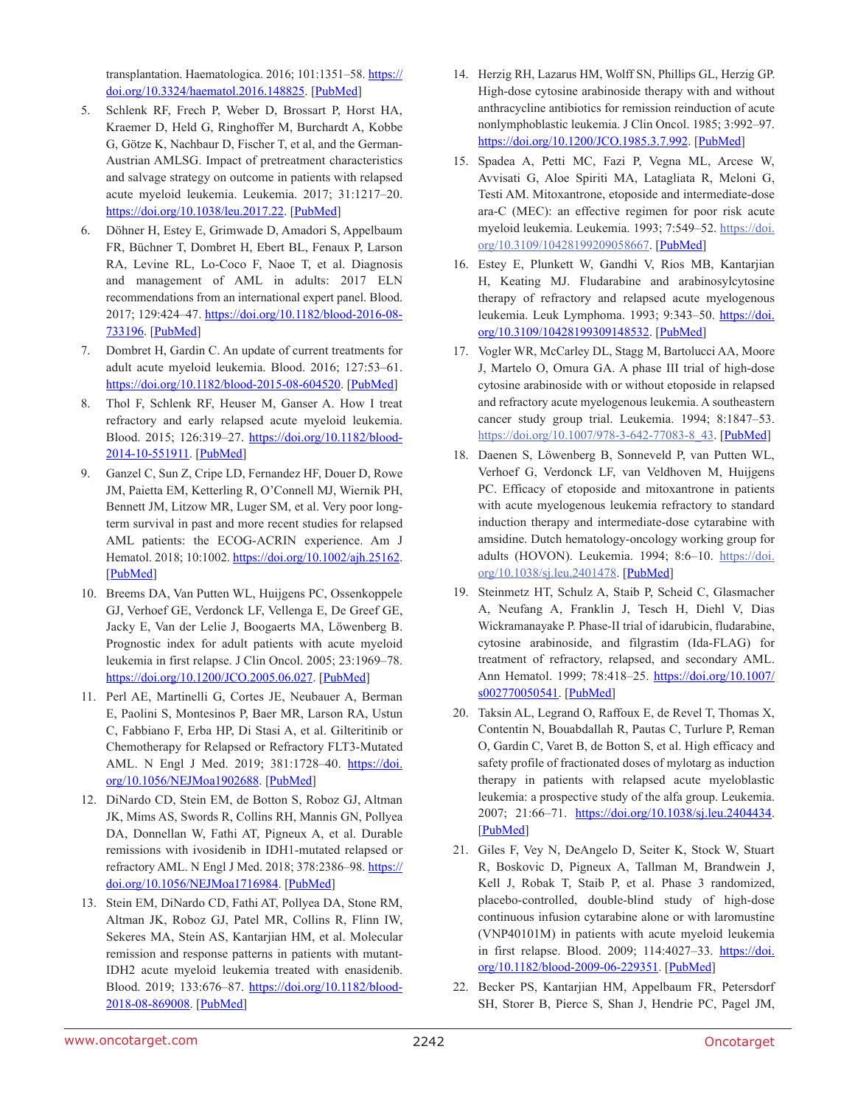transplantation. Haematologica. 2016; 101:1351–58. [https://](https://doi.org/10.3324/haematol.2016.148825) [doi.org/10.3324/haematol.2016.148825](https://doi.org/10.3324/haematol.2016.148825). [[PubMed](https://pubmed.ncbi.nlm.nih.gov/27540133)]

- 5. Schlenk RF, Frech P, Weber D, Brossart P, Horst HA, Kraemer D, Held G, Ringhoffer M, Burchardt A, Kobbe G, Götze K, Nachbaur D, Fischer T, et al, and the German-Austrian AMLSG. Impact of pretreatment characteristics and salvage strategy on outcome in patients with relapsed acute myeloid leukemia. Leukemia. 2017; 31:1217–20. <https://doi.org/10.1038/leu.2017.22>. [[PubMed](https://pubmed.ncbi.nlm.nih.gov/28096533)]
- 6. Döhner H, Estey E, Grimwade D, Amadori S, Appelbaum FR, Büchner T, Dombret H, Ebert BL, Fenaux P, Larson RA, Levine RL, Lo-Coco F, Naoe T, et al. Diagnosis and management of AML in adults: 2017 ELN recommendations from an international expert panel. Blood. 2017; 129:424–47. [https://doi.org/10.1182/blood-2016-08-](https://doi.org/10.1182/blood-2016-08-733196) [733196](https://doi.org/10.1182/blood-2016-08-733196). [\[PubMed\]](https://pubmed.ncbi.nlm.nih.gov/27895058)
- 7. Dombret H, Gardin C. An update of current treatments for adult acute myeloid leukemia. Blood. 2016; 127:53–61. [https://doi.org/10.1182/blood-2015-08-604520.](https://doi.org/10.1182/blood-2015-08-604520) [\[PubMed\]](https://pubmed.ncbi.nlm.nih.gov/26660429)
- 8. Thol F, Schlenk RF, Heuser M, Ganser A. How I treat refractory and early relapsed acute myeloid leukemia. Blood. 2015; 126:319–27. [https://doi.org/10.1182/blood-](https://doi.org/10.1182/blood-2014-10-551911)[2014-10-551911.](https://doi.org/10.1182/blood-2014-10-551911) [\[PubMed\]](https://pubmed.ncbi.nlm.nih.gov/25852056)
- 9. Ganzel C, Sun Z, Cripe LD, Fernandez HF, Douer D, Rowe JM, Paietta EM, Ketterling R, O'Connell MJ, Wiernik PH, Bennett JM, Litzow MR, Luger SM, et al. Very poor longterm survival in past and more recent studies for relapsed AML patients: the ECOG-ACRIN experience. Am J Hematol. 2018; 10:1002.<https://doi.org/10.1002/ajh.25162>. [[PubMed\]](https://pubmed.ncbi.nlm.nih.gov/29905379)
- 10. Breems DA, Van Putten WL, Huijgens PC, Ossenkoppele GJ, Verhoef GE, Verdonck LF, Vellenga E, De Greef GE, Jacky E, Van der Lelie J, Boogaerts MA, Löwenberg B. Prognostic index for adult patients with acute myeloid leukemia in first relapse. J Clin Oncol. 2005; 23:1969–78. <https://doi.org/10.1200/JCO.2005.06.027>. [[PubMed](https://pubmed.ncbi.nlm.nih.gov/15632409)]
- 11. Perl AE, Martinelli G, Cortes JE, Neubauer A, Berman E, Paolini S, Montesinos P, Baer MR, Larson RA, Ustun C, Fabbiano F, Erba HP, Di Stasi A, et al. Gilteritinib or Chemotherapy for Relapsed or Refractory FLT3-Mutated AML. N Engl J Med. 2019; 381:1728-40. [https://doi.](https://doi.org/10.1056/NEJMoa1902688) [org/10.1056/NEJMoa1902688.](https://doi.org/10.1056/NEJMoa1902688) [\[PubMed\]](https://pubmed.ncbi.nlm.nih.gov/31665578)
- 12. DiNardo CD, Stein EM, de Botton S, Roboz GJ, Altman JK, Mims AS, Swords R, Collins RH, Mannis GN, Pollyea DA, Donnellan W, Fathi AT, Pigneux A, et al. Durable remissions with ivosidenib in IDH1-mutated relapsed or refractory AML. N Engl J Med. 2018; 378:2386-98. [https://](https://doi.org/10.1056/NEJMoa1716984) [doi.org/10.1056/NEJMoa1716984](https://doi.org/10.1056/NEJMoa1716984). [[PubMed](https://pubmed.ncbi.nlm.nih.gov/29860938)]
- 13. Stein EM, DiNardo CD, Fathi AT, Pollyea DA, Stone RM, Altman JK, Roboz GJ, Patel MR, Collins R, Flinn IW, Sekeres MA, Stein AS, Kantarjian HM, et al. Molecular remission and response patterns in patients with mutant-IDH2 acute myeloid leukemia treated with enasidenib. Blood. 2019; 133:676–87. [https://doi.org/10.1182/blood-](https://doi.org/10.1182/blood-2018-08-869008)[2018-08-869008.](https://doi.org/10.1182/blood-2018-08-869008) [\[PubMed\]](https://pubmed.ncbi.nlm.nih.gov/30510081)
- 14. Herzig RH, Lazarus HM, Wolff SN, Phillips GL, Herzig GP. High-dose cytosine arabinoside therapy with and without anthracycline antibiotics for remission reinduction of acute nonlymphoblastic leukemia. J Clin Oncol. 1985; 3:992–97. [https://doi.org/10.1200/JCO.1985.3.7.992.](https://doi.org/10.1200/JCO.1985.3.7.992) [\[PubMed\]](https://pubmed.ncbi.nlm.nih.gov/3894588)
- 15. Spadea A, Petti MC, Fazi P, Vegna ML, Arcese W, Avvisati G, Aloe Spiriti MA, Latagliata R, Meloni G, Testi AM. Mitoxantrone, etoposide and intermediate-dose ara-C (MEC): an effective regimen for poor risk acute myeloid leukemia. Leukemia. 1993; 7:549–52. [https://doi.](https://doi.org/10.3109/10428199209058667) [org/10.3109/10428199209058667](https://doi.org/10.3109/10428199209058667). [[PubMed](https://pubmed.ncbi.nlm.nih.gov/8464233)]
- 16. Estey E, Plunkett W, Gandhi V, Rios MB, Kantarjian H, Keating MJ. Fludarabine and arabinosylcytosine therapy of refractory and relapsed acute myelogenous leukemia. Leuk Lymphoma. 1993; 9:343-50. [https://doi.](https://doi.org/10.3109/10428199309148532) [org/10.3109/10428199309148532](https://doi.org/10.3109/10428199309148532). [[PubMed](https://pubmed.ncbi.nlm.nih.gov/8394169)]
- 17. Vogler WR, McCarley DL, Stagg M, Bartolucci AA, Moore J, Martelo O, Omura GA. A phase III trial of high-dose cytosine arabinoside with or without etoposide in relapsed and refractory acute myelogenous leukemia. A southeastern cancer study group trial. Leukemia. 1994; 8:1847–53. [https://doi.org/10.1007/978-3-642-77083-8\\_43](https://doi.org/10.1007/978-3-642-77083-8_43). [[PubMed](https://pubmed.ncbi.nlm.nih.gov/7967730)]
- 18. Daenen S, Löwenberg B, Sonneveld P, van Putten WL, Verhoef G, Verdonck LF, van Veldhoven M, Huijgens PC. Efficacy of etoposide and mitoxantrone in patients with acute myelogenous leukemia refractory to standard induction therapy and intermediate-dose cytarabine with amsidine. Dutch hematology-oncology working group for adults (HOVON). Leukemia. 1994; 8:6–10. [https://doi.](https://doi.org/10.1038/sj.leu.2401478) [org/10.1038/sj.leu.2401478.](https://doi.org/10.1038/sj.leu.2401478) [\[PubMed\]](https://pubmed.ncbi.nlm.nih.gov/8289499)
- 19. Steinmetz HT, Schulz A, Staib P, Scheid C, Glasmacher A, Neufang A, Franklin J, Tesch H, Diehl V, Dias Wickramanayake P. Phase-II trial of idarubicin, fludarabine, cytosine arabinoside, and filgrastim (Ida-FLAG) for treatment of refractory, relapsed, and secondary AML. Ann Hematol. 1999; 78:418-25. [https://doi.org/10.1007/](https://doi.org/10.1007/s002770050541) [s002770050541](https://doi.org/10.1007/s002770050541). [[PubMed](https://pubmed.ncbi.nlm.nih.gov/10525830)]
- 20. Taksin AL, Legrand O, Raffoux E, de Revel T, Thomas X, Contentin N, Bouabdallah R, Pautas C, Turlure P, Reman O, Gardin C, Varet B, de Botton S, et al. High efficacy and safety profile of fractionated doses of mylotarg as induction therapy in patients with relapsed acute myeloblastic leukemia: a prospective study of the alfa group. Leukemia. 2007; 21:66-71. [https://doi.org/10.1038/sj.leu.2404434.](https://doi.org/10.1038/sj.leu.2404434) [\[PubMed\]](https://pubmed.ncbi.nlm.nih.gov/17051246)
- 21. Giles F, Vey N, DeAngelo D, Seiter K, Stock W, Stuart R, Boskovic D, Pigneux A, Tallman M, Brandwein J, Kell J, Robak T, Staib P, et al. Phase 3 randomized, placebo-controlled, double-blind study of high-dose continuous infusion cytarabine alone or with laromustine (VNP40101M) in patients with acute myeloid leukemia in first relapse. Blood. 2009; 114:4027-33. [https://doi.](https://doi.org/10.1182/blood-2009-06-229351) [org/10.1182/blood-2009-06-229351.](https://doi.org/10.1182/blood-2009-06-229351) [\[PubMed\]](https://pubmed.ncbi.nlm.nih.gov/19710500)
- 22. Becker PS, Kantarjian HM, Appelbaum FR, Petersdorf SH, Storer B, Pierce S, Shan J, Hendrie PC, Pagel JM,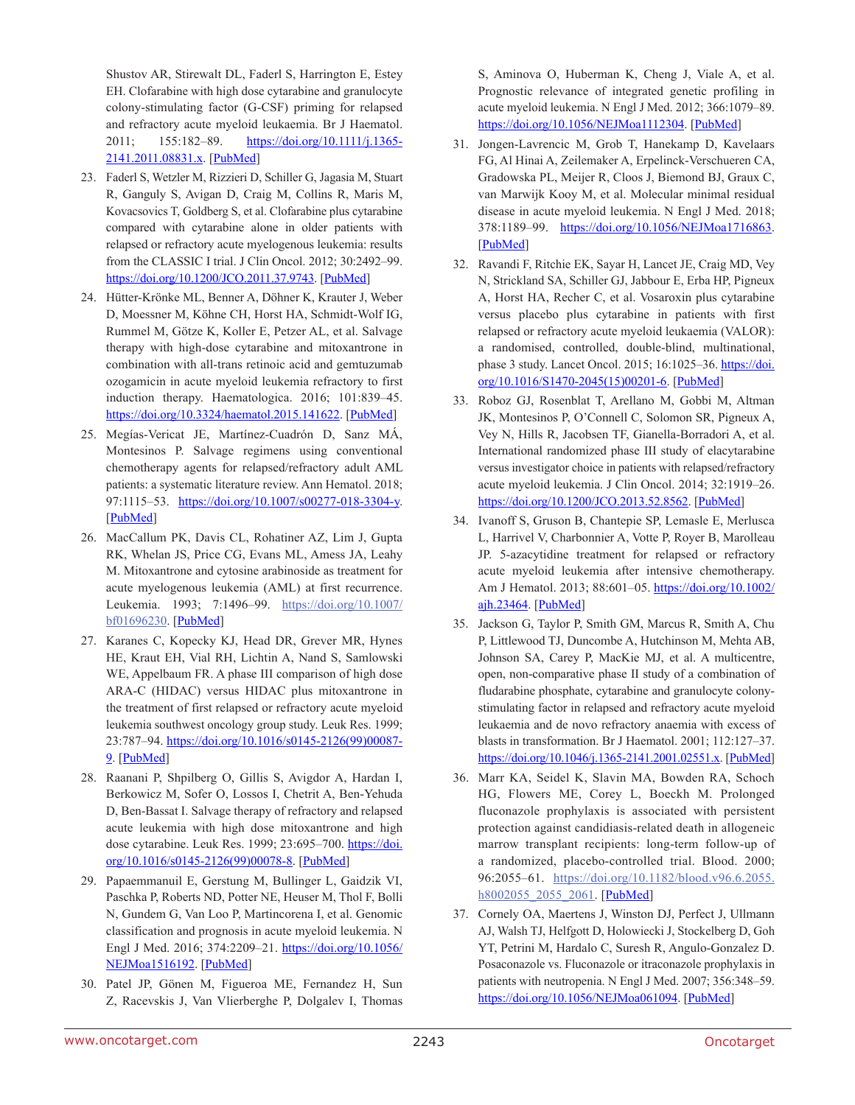Shustov AR, Stirewalt DL, Faderl S, Harrington E, Estey EH. Clofarabine with high dose cytarabine and granulocyte colony-stimulating factor (G-CSF) priming for relapsed and refractory acute myeloid leukaemia. Br J Haematol. 2011; 155:182-89. [https://doi.org/10.1111/j.1365-](https://doi.org/10.1111/j.1365-2141.2011.08831.x) [2141.2011.08831.x](https://doi.org/10.1111/j.1365-2141.2011.08831.x). [[PubMed](https://pubmed.ncbi.nlm.nih.gov/21848522)]

- 23. Faderl S, Wetzler M, Rizzieri D, Schiller G, Jagasia M, Stuart R, Ganguly S, Avigan D, Craig M, Collins R, Maris M, Kovacsovics T, Goldberg S, et al. Clofarabine plus cytarabine compared with cytarabine alone in older patients with relapsed or refractory acute myelogenous leukemia: results from the CLASSIC I trial. J Clin Oncol. 2012; 30:2492–99. <https://doi.org/10.1200/JCO.2011.37.9743>. [\[PubMed](https://pubmed.ncbi.nlm.nih.gov/22585697)]
- 24. Hütter-Krönke ML, Benner A, Döhner K, Krauter J, Weber D, Moessner M, Köhne CH, Horst HA, Schmidt-Wolf IG, Rummel M, Götze K, Koller E, Petzer AL, et al. Salvage therapy with high-dose cytarabine and mitoxantrone in combination with all-trans retinoic acid and gemtuzumab ozogamicin in acute myeloid leukemia refractory to first induction therapy. Haematologica. 2016; 101:839–45. <https://doi.org/10.3324/haematol.2015.141622>. [[PubMed](https://pubmed.ncbi.nlm.nih.gov/27036160)]
- 25. Megías-Vericat JE, Martínez-Cuadrón D, Sanz MÁ, Montesinos P. Salvage regimens using conventional chemotherapy agents for relapsed/refractory adult AML patients: a systematic literature review. Ann Hematol. 2018; 97:1115–53. <https://doi.org/10.1007/s00277-018-3304-y>. [[PubMed\]](https://pubmed.ncbi.nlm.nih.gov/29680875)
- 26. MacCallum PK, Davis CL, Rohatiner AZ, Lim J, Gupta RK, Whelan JS, Price CG, Evans ML, Amess JA, Leahy M. Mitoxantrone and cytosine arabinoside as treatment for acute myelogenous leukemia (AML) at first recurrence. Leukemia. 1993; 7:1496–99. [https://doi.org/10.1007/](https://doi.org/10.1007/bf01696230) [bf01696230](https://doi.org/10.1007/bf01696230). [[PubMed](https://pubmed.ncbi.nlm.nih.gov/8412309)]
- 27. Karanes C, Kopecky KJ, Head DR, Grever MR, Hynes HE, Kraut EH, Vial RH, Lichtin A, Nand S, Samlowski WE, Appelbaum FR. A phase III comparison of high dose ARA-C (HIDAC) versus HIDAC plus mitoxantrone in the treatment of first relapsed or refractory acute myeloid leukemia southwest oncology group study. Leuk Res. 1999; 23:787–94. [https://doi.org/10.1016/s0145-2126\(99\)00087-](https://doi.org/10.1016/s0145-2126(99)00087-9) [9](https://doi.org/10.1016/s0145-2126(99)00087-9). [[PubMed](https://pubmed.ncbi.nlm.nih.gov/10475617)]
- 28. Raanani P, Shpilberg O, Gillis S, Avigdor A, Hardan I, Berkowicz M, Sofer O, Lossos I, Chetrit A, Ben-Yehuda D, Ben-Bassat I. Salvage therapy of refractory and relapsed acute leukemia with high dose mitoxantrone and high dose cytarabine. Leuk Res. 1999; 23:695-700. [https://doi.](https://doi.org/10.1016/s0145-2126(99)00078-8) [org/10.1016/s0145-2126\(99\)00078-8.](https://doi.org/10.1016/s0145-2126(99)00078-8) [\[PubMed\]](https://pubmed.ncbi.nlm.nih.gov/10456666)
- 29. Papaemmanuil E, Gerstung M, Bullinger L, Gaidzik VI, Paschka P, Roberts ND, Potter NE, Heuser M, Thol F, Bolli N, Gundem G, Van Loo P, Martincorena I, et al. Genomic classification and prognosis in acute myeloid leukemia. N Engl J Med. 2016; 374:2209–21. [https://doi.org/10.1056/](https://doi.org/10.1056/NEJMoa1516192) [NEJMoa1516192](https://doi.org/10.1056/NEJMoa1516192). [[PubMed](https://pubmed.ncbi.nlm.nih.gov/27276561)]
- 30. Patel JP, Gönen M, Figueroa ME, Fernandez H, Sun Z, Racevskis J, Van Vlierberghe P, Dolgalev I, Thomas

S, Aminova O, Huberman K, Cheng J, Viale A, et al. Prognostic relevance of integrated genetic profiling in acute myeloid leukemia. N Engl J Med. 2012; 366:1079–89. <https://doi.org/10.1056/NEJMoa1112304>. [[PubMed](https://pubmed.ncbi.nlm.nih.gov/22417203)]

- 31. Jongen-Lavrencic M, Grob T, Hanekamp D, Kavelaars FG, Al Hinai A, Zeilemaker A, Erpelinck-Verschueren CA, Gradowska PL, Meijer R, Cloos J, Biemond BJ, Graux C, van Marwijk Kooy M, et al. Molecular minimal residual disease in acute myeloid leukemia. N Engl J Med. 2018; 378:1189-99. [https://doi.org/10.1056/NEJMoa1716863.](https://doi.org/10.1056/NEJMoa1716863) [\[PubMed\]](https://pubmed.ncbi.nlm.nih.gov/29601269)
- 32. Ravandi F, Ritchie EK, Sayar H, Lancet JE, Craig MD, Vey N, Strickland SA, Schiller GJ, Jabbour E, Erba HP, Pigneux A, Horst HA, Recher C, et al. Vosaroxin plus cytarabine versus placebo plus cytarabine in patients with first relapsed or refractory acute myeloid leukaemia (VALOR): a randomised, controlled, double-blind, multinational, phase 3 study. Lancet Oncol. 2015; 16:1025–36. [https://doi.](https://doi.org/10.1016/S1470-2045(15)00201-6) [org/10.1016/S1470-2045\(15\)00201-6.](https://doi.org/10.1016/S1470-2045(15)00201-6) [\[PubMed\]](https://pubmed.ncbi.nlm.nih.gov/26234174)
- 33. Roboz GJ, Rosenblat T, Arellano M, Gobbi M, Altman JK, Montesinos P, O'Connell C, Solomon SR, Pigneux A, Vey N, Hills R, Jacobsen TF, Gianella-Borradori A, et al. International randomized phase III study of elacytarabine versus investigator choice in patients with relapsed/refractory acute myeloid leukemia. J Clin Oncol. 2014; 32:1919–26. [https://doi.org/10.1200/JCO.2013.52.8562.](https://doi.org/10.1200/JCO.2013.52.8562) [\[PubMed](https://pubmed.ncbi.nlm.nih.gov/24841975)]
- 34. Ivanoff S, Gruson B, Chantepie SP, Lemasle E, Merlusca L, Harrivel V, Charbonnier A, Votte P, Royer B, Marolleau JP. 5-azacytidine treatment for relapsed or refractory acute myeloid leukemia after intensive chemotherapy. Am J Hematol. 2013; 88:601-05. [https://doi.org/10.1002/](https://doi.org/10.1002/ajh.23464) [ajh.23464](https://doi.org/10.1002/ajh.23464). [[PubMed](https://pubmed.ncbi.nlm.nih.gov/23619977)]
- 35. Jackson G, Taylor P, Smith GM, Marcus R, Smith A, Chu P, Littlewood TJ, Duncombe A, Hutchinson M, Mehta AB, Johnson SA, Carey P, MacKie MJ, et al. A multicentre, open, non-comparative phase II study of a combination of fludarabine phosphate, cytarabine and granulocyte colonystimulating factor in relapsed and refractory acute myeloid leukaemia and de novo refractory anaemia with excess of blasts in transformation. Br J Haematol. 2001; 112:127–37. [https://doi.org/10.1046/j.1365-2141.2001.02551.x.](https://doi.org/10.1046/j.1365-2141.2001.02551.x) [[PubMed](https://pubmed.ncbi.nlm.nih.gov/11167793)]
- 36. Marr KA, Seidel K, Slavin MA, Bowden RA, Schoch HG, Flowers ME, Corey L, Boeckh M. Prolonged fluconazole prophylaxis is associated with persistent protection against candidiasis-related death in allogeneic marrow transplant recipients: long-term follow-up of a randomized, placebo-controlled trial. Blood. 2000; 96:2055–61. [https://doi.org/10.1182/blood.v96.6.2055.](https://doi.org/10.1182/blood.v96.6.2055.h8002055_2055_2061) [h8002055\\_2055\\_2061.](https://doi.org/10.1182/blood.v96.6.2055.h8002055_2055_2061) [[PubMed](https://pubmed.ncbi.nlm.nih.gov/10979947)]
- 37. Cornely OA, Maertens J, Winston DJ, Perfect J, Ullmann AJ, Walsh TJ, Helfgott D, Holowiecki J, Stockelberg D, Goh YT, Petrini M, Hardalo C, Suresh R, Angulo-Gonzalez D. Posaconazole vs. Fluconazole or itraconazole prophylaxis in patients with neutropenia. N Engl J Med. 2007; 356:348–59. <https://doi.org/10.1056/NEJMoa061094>. [[PubMed](https://pubmed.ncbi.nlm.nih.gov/17251531)]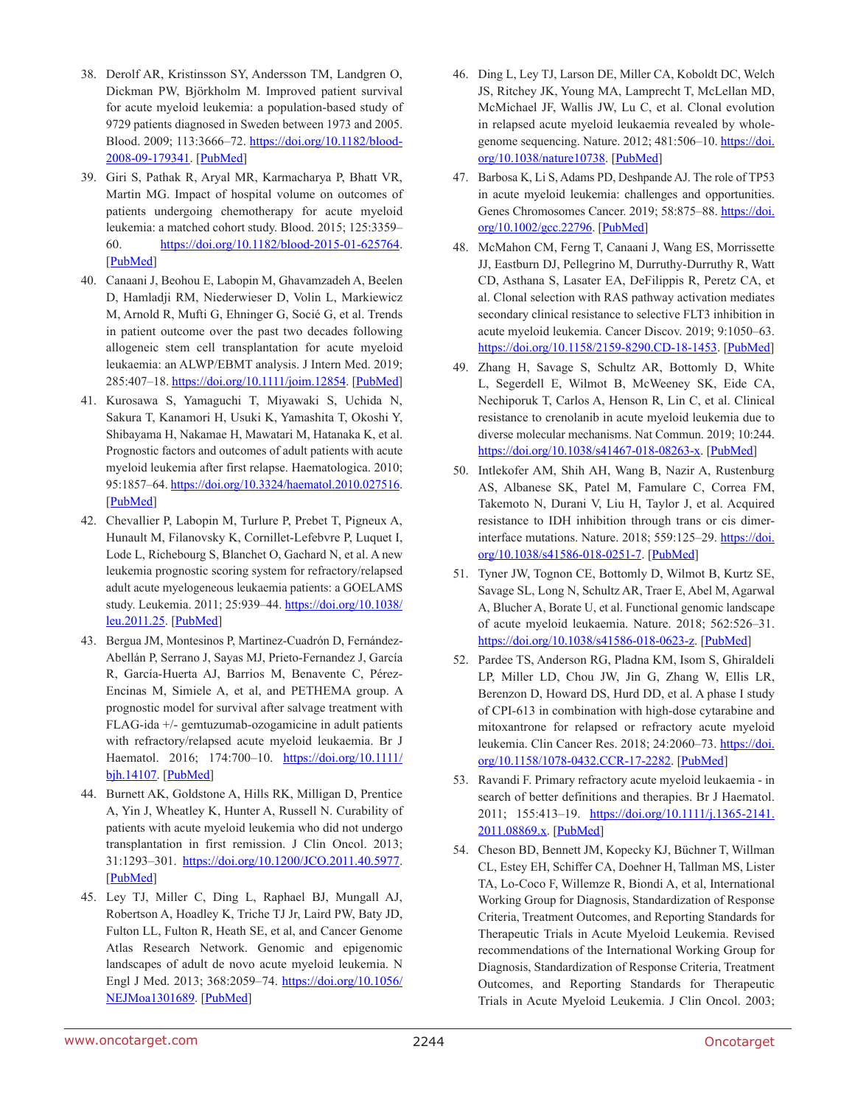- 38. Derolf AR, Kristinsson SY, Andersson TM, Landgren O, Dickman PW, Björkholm M. Improved patient survival for acute myeloid leukemia: a population-based study of 9729 patients diagnosed in Sweden between 1973 and 2005. Blood. 2009; 113:3666–72. [https://doi.org/10.1182/blood-](https://doi.org/10.1182/blood-2008-09-179341)[2008-09-179341.](https://doi.org/10.1182/blood-2008-09-179341) [\[PubMed\]](https://pubmed.ncbi.nlm.nih.gov/19020306)
- 39. Giri S, Pathak R, Aryal MR, Karmacharya P, Bhatt VR, Martin MG. Impact of hospital volume on outcomes of patients undergoing chemotherapy for acute myeloid leukemia: a matched cohort study. Blood. 2015; 125:3359– 60. <https://doi.org/10.1182/blood-2015-01-625764>. [[PubMed\]](https://pubmed.ncbi.nlm.nih.gov/25999448)
- 40. Canaani J, Beohou E, Labopin M, Ghavamzadeh A, Beelen D, Hamladji RM, Niederwieser D, Volin L, Markiewicz M, Arnold R, Mufti G, Ehninger G, Socié G, et al. Trends in patient outcome over the past two decades following allogeneic stem cell transplantation for acute myeloid leukaemia: an ALWP/EBMT analysis. J Intern Med. 2019; 285:407–18. [https://doi.org/10.1111/joim.12854.](https://doi.org/10.1111/joim.12854) [\[PubMed\]](https://pubmed.ncbi.nlm.nih.gov/30372796)
- 41. Kurosawa S, Yamaguchi T, Miyawaki S, Uchida N, Sakura T, Kanamori H, Usuki K, Yamashita T, Okoshi Y, Shibayama H, Nakamae H, Mawatari M, Hatanaka K, et al. Prognostic factors and outcomes of adult patients with acute myeloid leukemia after first relapse. Haematologica. 2010; 95:1857–64.<https://doi.org/10.3324/haematol.2010.027516>. [[PubMed\]](https://pubmed.ncbi.nlm.nih.gov/20634493)
- 42. Chevallier P, Labopin M, Turlure P, Prebet T, Pigneux A, Hunault M, Filanovsky K, Cornillet-Lefebvre P, Luquet I, Lode L, Richebourg S, Blanchet O, Gachard N, et al. A new leukemia prognostic scoring system for refractory/relapsed adult acute myelogeneous leukaemia patients: a GOELAMS study. Leukemia. 2011; 25:939–44. [https://doi.org/10.1038/](https://doi.org/10.1038/leu.2011.25) [leu.2011.25](https://doi.org/10.1038/leu.2011.25). [[PubMed](https://pubmed.ncbi.nlm.nih.gov/21331073)]
- 43. Bergua JM, Montesinos P, Martinez-Cuadrón D, Fernández-Abellán P, Serrano J, Sayas MJ, Prieto-Fernandez J, García R, García-Huerta AJ, Barrios M, Benavente C, Pérez-Encinas M, Simiele A, et al, and PETHEMA group. A prognostic model for survival after salvage treatment with FLAG-ida +/- gemtuzumab-ozogamicine in adult patients with refractory/relapsed acute myeloid leukaemia. Br J Haematol. 2016; 174:700-10. [https://doi.org/10.1111/](https://doi.org/10.1111/bjh.14107) [bjh.14107](https://doi.org/10.1111/bjh.14107). [[PubMed](https://pubmed.ncbi.nlm.nih.gov/27118319)]
- 44. Burnett AK, Goldstone A, Hills RK, Milligan D, Prentice A, Yin J, Wheatley K, Hunter A, Russell N. Curability of patients with acute myeloid leukemia who did not undergo transplantation in first remission. J Clin Oncol. 2013; 31:1293–301. <https://doi.org/10.1200/JCO.2011.40.5977>. [[PubMed\]](https://pubmed.ncbi.nlm.nih.gov/23439754)
- 45. Ley TJ, Miller C, Ding L, Raphael BJ, Mungall AJ, Robertson A, Hoadley K, Triche TJ Jr, Laird PW, Baty JD, Fulton LL, Fulton R, Heath SE, et al, and Cancer Genome Atlas Research Network. Genomic and epigenomic landscapes of adult de novo acute myeloid leukemia. N Engl J Med. 2013; 368:2059–74. [https://doi.org/10.1056/](https://doi.org/10.1056/NEJMoa1301689) [NEJMoa1301689](https://doi.org/10.1056/NEJMoa1301689). [[PubMed](https://pubmed.ncbi.nlm.nih.gov/23634996)]
- 46. Ding L, Ley TJ, Larson DE, Miller CA, Koboldt DC, Welch JS, Ritchey JK, Young MA, Lamprecht T, McLellan MD, McMichael JF, Wallis JW, Lu C, et al. Clonal evolution in relapsed acute myeloid leukaemia revealed by wholegenome sequencing. Nature. 2012; 481:506-10. [https://doi.](https://doi.org/10.1038/nature10738) [org/10.1038/nature10738.](https://doi.org/10.1038/nature10738) [\[PubMed\]](https://pubmed.ncbi.nlm.nih.gov/22237025)
- 47. Barbosa K, Li S, Adams PD, Deshpande AJ. The role of TP53 in acute myeloid leukemia: challenges and opportunities. Genes Chromosomes Cancer. 2019; 58:875-88. [https://doi.](https://doi.org/10.1002/gcc.22796) [org/10.1002/gcc.22796](https://doi.org/10.1002/gcc.22796). [\[PubMed](https://pubmed.ncbi.nlm.nih.gov/31393631)]
- 48. McMahon CM, Ferng T, Canaani J, Wang ES, Morrissette JJ, Eastburn DJ, Pellegrino M, Durruthy-Durruthy R, Watt CD, Asthana S, Lasater EA, DeFilippis R, Peretz CA, et al. Clonal selection with RAS pathway activation mediates secondary clinical resistance to selective FLT3 inhibition in acute myeloid leukemia. Cancer Discov. 2019; 9:1050–63. [https://doi.org/10.1158/2159-8290.CD-18-1453.](https://doi.org/10.1158/2159-8290.CD-18-1453) [\[PubMed\]](https://pubmed.ncbi.nlm.nih.gov/31088841)
- 49. Zhang H, Savage S, Schultz AR, Bottomly D, White L, Segerdell E, Wilmot B, McWeeney SK, Eide CA, Nechiporuk T, Carlos A, Henson R, Lin C, et al. Clinical resistance to crenolanib in acute myeloid leukemia due to diverse molecular mechanisms. Nat Commun. 2019; 10:244. [https://doi.org/10.1038/s41467-018-08263-x.](https://doi.org/10.1038/s41467-018-08263-x) [\[PubMed](https://pubmed.ncbi.nlm.nih.gov/30651561)]
- 50. Intlekofer AM, Shih AH, Wang B, Nazir A, Rustenburg AS, Albanese SK, Patel M, Famulare C, Correa FM, Takemoto N, Durani V, Liu H, Taylor J, et al. Acquired resistance to IDH inhibition through trans or cis dimerinterface mutations. Nature. 2018; 559:125-29. [https://doi.](https://doi.org/10.1038/s41586-018-0251-7) [org/10.1038/s41586-018-0251-7.](https://doi.org/10.1038/s41586-018-0251-7) [\[PubMed\]](https://pubmed.ncbi.nlm.nih.gov/29950729)
- 51. Tyner JW, Tognon CE, Bottomly D, Wilmot B, Kurtz SE, Savage SL, Long N, Schultz AR, Traer E, Abel M, Agarwal A, Blucher A, Borate U, et al. Functional genomic landscape of acute myeloid leukaemia. Nature. 2018; 562:526–31. <https://doi.org/10.1038/s41586-018-0623-z>. [[PubMed](https://pubmed.ncbi.nlm.nih.gov/30333627)]
- 52. Pardee TS, Anderson RG, Pladna KM, Isom S, Ghiraldeli LP, Miller LD, Chou JW, Jin G, Zhang W, Ellis LR, Berenzon D, Howard DS, Hurd DD, et al. A phase I study of CPI-613 in combination with high-dose cytarabine and mitoxantrone for relapsed or refractory acute myeloid leukemia. Clin Cancer Res. 2018; 24:2060–73. [https://doi.](https://doi.org/10.1158/1078-0432.CCR-17-2282) [org/10.1158/1078-0432.CCR-17-2282.](https://doi.org/10.1158/1078-0432.CCR-17-2282) [[PubMed\]](https://pubmed.ncbi.nlm.nih.gov/29437791)
- 53. Ravandi F. Primary refractory acute myeloid leukaemia in search of better definitions and therapies. Br J Haematol. 2011; 155:413-19. [https://doi.org/10.1111/j.1365-2141.](https://doi.org/10.1111/j.1365-2141.2011.08869.x) [2011.08869.x.](https://doi.org/10.1111/j.1365-2141.2011.08869.x) [\[PubMed\]](https://pubmed.ncbi.nlm.nih.gov/21910721)
- 54. Cheson BD, Bennett JM, Kopecky KJ, Büchner T, Willman CL, Estey EH, Schiffer CA, Doehner H, Tallman MS, Lister TA, Lo-Coco F, Willemze R, Biondi A, et al, International Working Group for Diagnosis, Standardization of Response Criteria, Treatment Outcomes, and Reporting Standards for Therapeutic Trials in Acute Myeloid Leukemia. Revised recommendations of the International Working Group for Diagnosis, Standardization of Response Criteria, Treatment Outcomes, and Reporting Standards for Therapeutic Trials in Acute Myeloid Leukemia. J Clin Oncol. 2003;